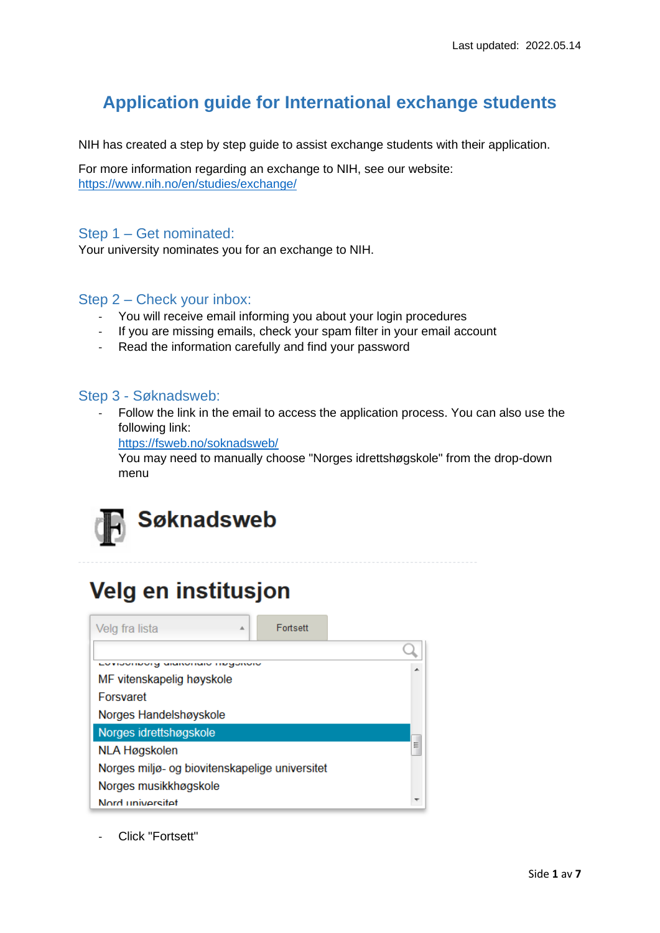## **Application guide for International exchange students**

NIH has created a step by step guide to assist exchange students with their application.

For more information regarding an exchange to NIH, see our website: <https://www.nih.no/en/studies/exchange/>

### Step 1 – Get nominated:

Your university nominates you for an exchange to NIH.

### Step 2 – Check your inbox:

- You will receive email informing you about your login procedures
- If you are missing emails, check your spam filter in your email account
- Read the information carefully and find your password

#### Step 3 - Søknadsweb:

Follow the link in the email to access the application process. You can also use the following link:

<https://fsweb.no/soknadsweb/>

You may need to manually choose "Norges idrettshøgskole" from the drop-down menu



# Velg en institusjon

| Velg fra lista<br>业                            | Fortsett |  |
|------------------------------------------------|----------|--|
|                                                |          |  |
| EV HOVINGHY GRIMOHAN TROGONOM                  | ▴        |  |
| MF vitenskapelig høyskole                      |          |  |
| Forsvaret                                      |          |  |
| Norges Handelshøyskole                         |          |  |
| Norges idrettshøgskole                         |          |  |
| Ξ<br><b>NLA Høgskolen</b>                      |          |  |
| Norges miljø- og biovitenskapelige universitet |          |  |
| Norges musikkhøgskole                          |          |  |
| Nord universitet                               |          |  |

Click "Fortsett"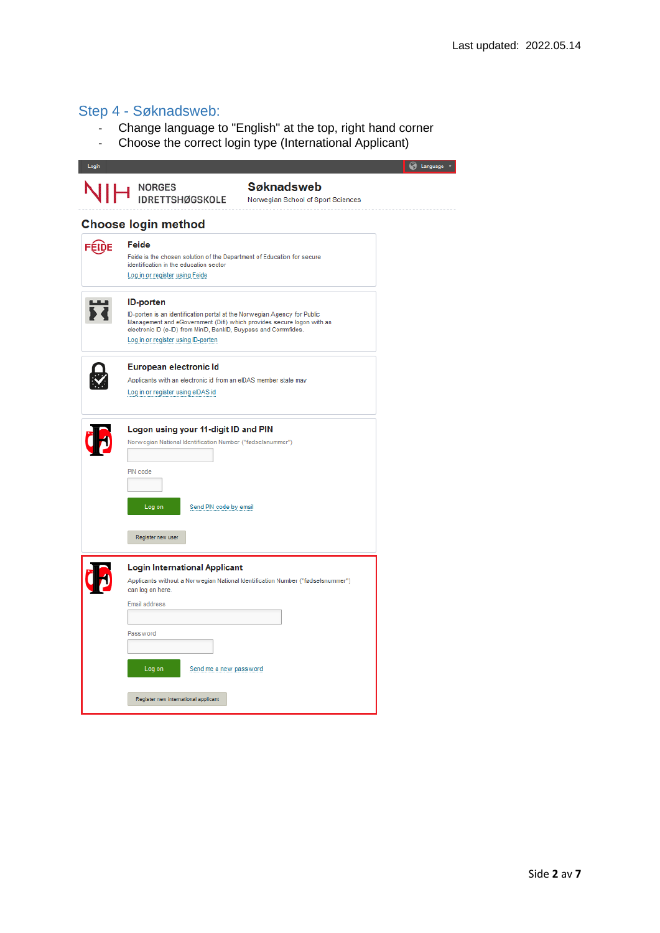## Step 4 - Søknadsweb:

- Change language to "English" at the top, right hand corner
- Choose the correct login type (International Applicant)

| Login |                                                                                                                                                                                                                                                                                | Language v |
|-------|--------------------------------------------------------------------------------------------------------------------------------------------------------------------------------------------------------------------------------------------------------------------------------|------------|
|       | <b>Søknadsweb</b><br>NORGES<br>IDRETTSHØGSKOLE<br>Norwegian School of Sport Sciences                                                                                                                                                                                           |            |
|       | <b>Choose login method</b>                                                                                                                                                                                                                                                     |            |
| FÉIDE | Feide<br>Feide is the chosen solution of the Department of Education for secure<br>identification in the education sector<br>Log in or register using Feide                                                                                                                    |            |
|       | <b>ID-porten</b><br>ID-porten is an identification portal at the Norwegian Agency for Public<br>Management and eGovernment (Difi) which provides secure logon with an<br>electronic ID (e-ID) from MinID, BankID, Buypass and Commfides.<br>Log in or register using ID-porten |            |
|       | European electronic Id<br>Applicants with an electronic id from an eIDAS member state may<br>Log in or register using eIDAS id                                                                                                                                                 |            |
|       | Logon using your 11-digit ID and PIN<br>Norwegian National Identification Number ("fødselsnummer")<br>PIN code                                                                                                                                                                 |            |
|       | Log on<br>Send PIN code by email<br>Register new user                                                                                                                                                                                                                          |            |
|       | <b>Login International Applicant</b><br>Applicants without a Norwegian National Identification Number ("fødselsnummer")<br>can log on here.<br>Email address                                                                                                                   |            |
|       | Password<br>Log on<br>Send me a new password                                                                                                                                                                                                                                   |            |
|       | Register new international applicant                                                                                                                                                                                                                                           |            |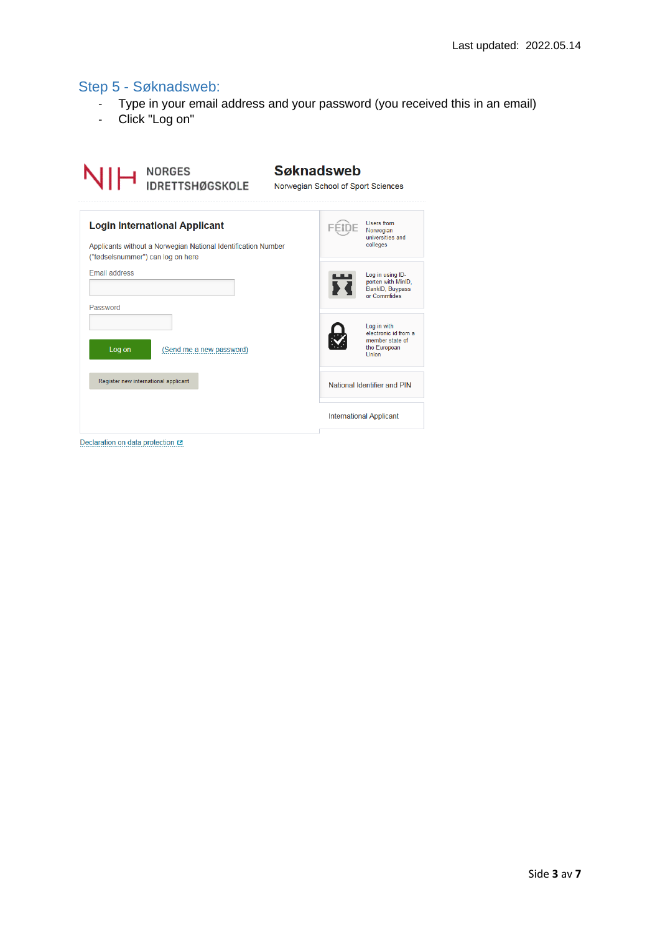## Step 5 - Søknadsweb:

- Type in your email address and your password (you received this in an email)
- Click "Log on"

| NORGES<br>IDRETTSHØGSKOLE                                                                                                                  | <b>Søknadsweb</b><br>Norwegian School of Sport Sciences                                |
|--------------------------------------------------------------------------------------------------------------------------------------------|----------------------------------------------------------------------------------------|
| <b>Login International Applicant</b><br>Applicants without a Norwegian National Identification Number<br>("fødselsnummer") can log on here | Users from<br>FEIDE<br>Norwegian<br>universities and<br>colleges                       |
| <b>Email address</b><br>Password                                                                                                           | Log in using ID-<br>porten with MinID,<br>BankID, Buypass<br>or Commfides              |
| Log on<br>(Send me a new password)                                                                                                         | Log in with<br>electronic id from a<br>member state of<br>the European<br><b>Union</b> |
| Register new international applicant                                                                                                       | National Identifier and PIN                                                            |
|                                                                                                                                            | <b>International Applicant</b>                                                         |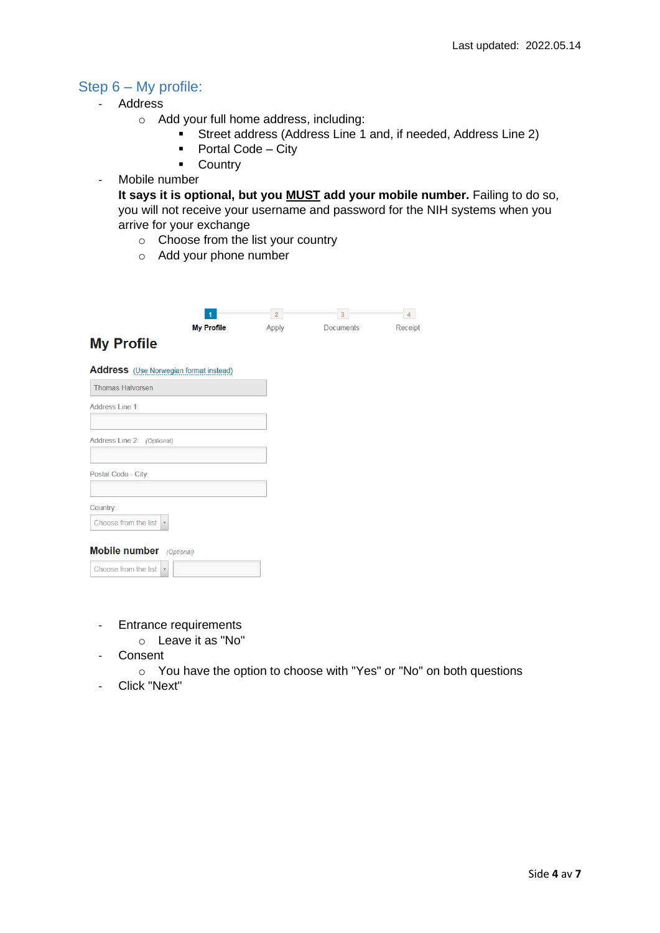## Step 6 – My profile:

- Address
	- o Add your full home address, including:
		- Street address (Address Line 1 and, if needed, Address Line 2)
		- Portal Code City
		- Country
- Mobile number

**It says it is optional, but you MUST add your mobile number.** Failing to do so, you will not receive your username and password for the NIH systems when you arrive for your exchange

- o Choose from the list your country
- o Add your phone number

|                                                               | 2 <sup>1</sup> | 3 <sup>1</sup>   | 4       |
|---------------------------------------------------------------|----------------|------------------|---------|
| <b>My Profile</b><br><b>My Profile</b>                        | <b>Apply</b>   | <b>Documents</b> | Receipt |
| <b>Address</b> (Use Norwegian format instead)                 |                |                  |         |
| <b>Thomas Halvorsen</b>                                       |                |                  |         |
| Address Line 1:                                               |                |                  |         |
|                                                               |                |                  |         |
| Address Line 2: (Optional)                                    |                |                  |         |
|                                                               |                |                  |         |
| Postal Code - City:                                           |                |                  |         |
|                                                               |                |                  |         |
| Country:<br>Choose from the list<br>$\boldsymbol{\mathrm{v}}$ |                |                  |         |
| <b>Mobile number</b> (Optional)                               |                |                  |         |
| Choose from the list<br>$\overline{\psi}$                     |                |                  |         |

- Entrance requirements
	- o Leave it as "No"
- Consent
	- o You have the option to choose with "Yes" or "No" on both questions
- Click "Next"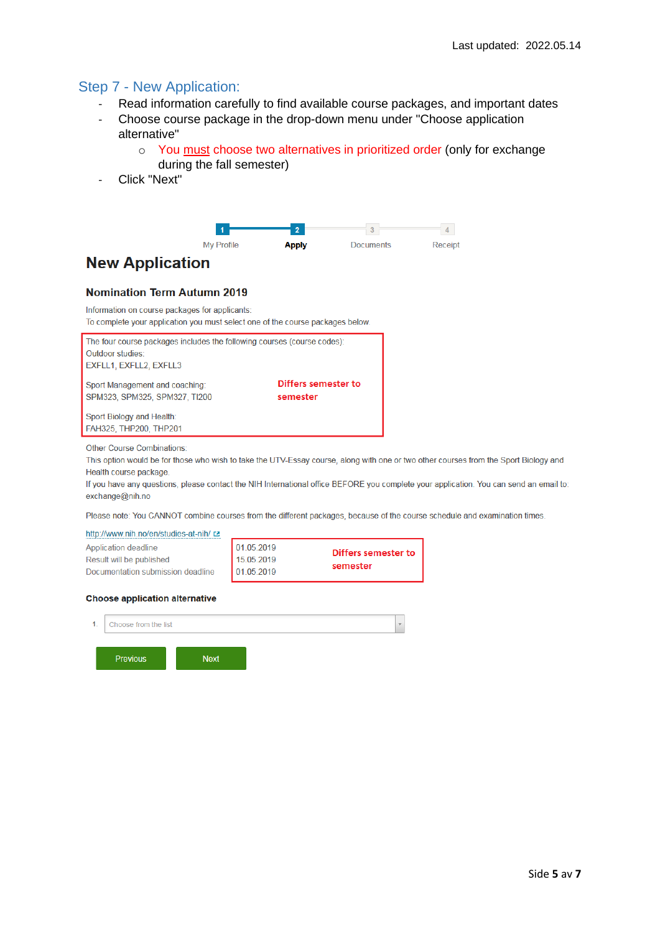### Step 7 - New Application:

- Read information carefully to find available course packages, and important dates
- Choose course package in the drop-down menu under "Choose application alternative"
	- o You must choose two alternatives in prioritized order (only for exchange during the fall semester)
- Click "Next"



## **New Application**

#### **Nomination Term Autumn 2019**

Information on course packages for applicants:

To complete your application you must select one of the course packages below.

| The four course packages includes the following courses (course codes): |                                 |
|-------------------------------------------------------------------------|---------------------------------|
| Outdoor studies:                                                        |                                 |
| <b>EXFLL1, EXFLL2, EXFLL3</b>                                           |                                 |
| Sport Management and coaching:<br>SPM323, SPM325, SPM327, TI200         | Differs semester to<br>semester |
| Sport Biology and Health:                                               |                                 |
| FAH325, THP200, THP201                                                  |                                 |

Other Course Combinations:

This option would be for those who wish to take the UTV-Essay course, along with one or two other courses from the Sport Biology and Health course package.

If you have any questions, please contact the NIH International office BEFORE you complete your application. You can send an email to: exchange@nih.no

Please note: You CANNOT combine courses from the different packages, because of the course schedule and examination times.

| http://www.nih.no/en/studies-at-nih/ |            |                     |  |
|--------------------------------------|------------|---------------------|--|
| Application deadline                 | 101052019  | Differs semester to |  |
| Result will be published             | 15.05.2019 |                     |  |
| Documentation submission deadline    | 01.05.2019 | semester            |  |

#### **Choose application alternative**

| 1. | Choose from the list |             | $\overline{\mathbf{v}}$ |
|----|----------------------|-------------|-------------------------|
|    | <b>Previous</b>      | <b>Next</b> |                         |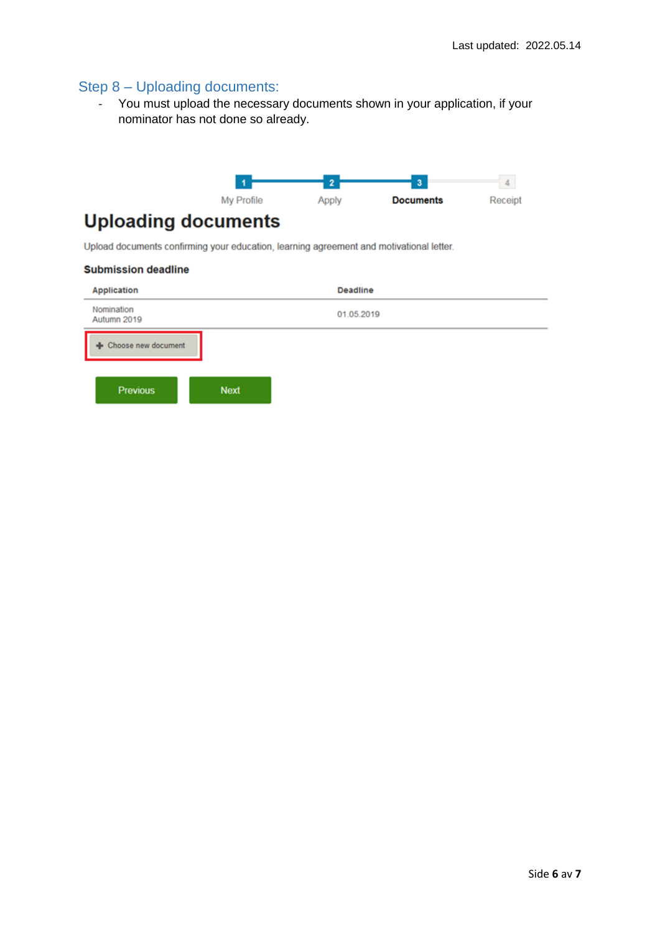## Step 8 – Uploading documents:

- You must upload the necessary documents shown in your application, if your nominator has not done so already.



## **Uploading documents**

Upload documents confirming your education, learning agreement and motivational letter.

#### **Submission deadline**

| Application               |             | Deadline   |  |
|---------------------------|-------------|------------|--|
| Nomination<br>Autumn 2019 |             | 01.05.2019 |  |
| - Choose new document     |             |            |  |
| <b>Previous</b>           | <b>Next</b> |            |  |